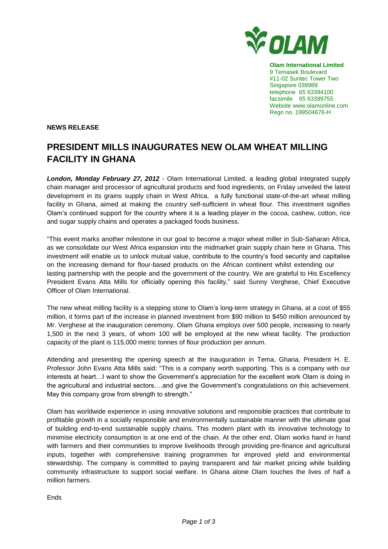

**Olam International Limited**  9 Temasek Boulevard #11-02 Suntec Tower Two Singapore 038989 telephone 65 63394100 facsimile 65 63399755 Website www.olamonline.com Regn no. 199504676-H

**NEWS RELEASE**

# **PRESIDENT MILLS INAUGURATES NEW OLAM WHEAT MILLING FACILITY IN GHANA**

*London, Monday February 27, 2012* - Olam International Limited, a leading global integrated supply chain manager and processor of agricultural products and food ingredients, on Friday unveiled the latest development in its grains supply chain in West Africa, a fully functional state-of-the-art wheat milling facility in Ghana, aimed at making the country self-sufficient in wheat flour. This investment signifies Olam's continued support for the country where it is a leading player in the cocoa, cashew, cotton, rice and sugar supply chains and operates a packaged foods business.

"This event marks another milestone in our goal to become a major wheat miller in Sub-Saharan Africa, as we consolidate our West Africa expansion into the midmarket grain supply chain here in Ghana. This investment will enable us to unlock mutual value, contribute to the country's food security and capitalise on the increasing demand for flour-based products on the African continent whilst extending our lasting partnership with the people and the government of the country. We are grateful to His Excellency President Evans Atta Mills for officially opening this facility," said Sunny Verghese, Chief Executive Officer of Olam International.

The new wheat milling facility is a stepping stone to Olam's long-term strategy in Ghana, at a cost of \$55 million, it forms part of the increase in planned investment from \$90 million to \$450 million announced by Mr. Verghese at the inauguration ceremony. Olam Ghana employs over 500 people, increasing to nearly 1,500 in the next 3 years, of whom 100 will be employed at the new wheat facility. The production capacity of the plant is 115,000 metric tonnes of flour production per annum.

Attending and presenting the opening speech at the inauguration in Tema, Ghana, President H. E. Professor John Evans Atta Mills said: "This is a company worth supporting. This is a company with our interests at heart…I want to show the Government's appreciation for the excellent work Olam is doing in the agricultural and industrial sectors….and give the Government's congratulations on this achievement. May this company grow from strength to strength."

Olam has worldwide experience in using innovative solutions and responsible practices that contribute to profitable growth in a socially responsible and environmentally sustainable manner with the ultimate goal of building end-to-end sustainable supply chains. This modern plant with its innovative technology to minimise electricity consumption is at one end of the chain. At the other end, Olam works hand in hand with farmers and their communities to improve livelihoods through providing pre-finance and agricultural inputs, together with comprehensive training programmes for improved yield and environmental stewardship. The company is committed to paying transparent and fair market pricing while building community infrastructure to support social welfare. In Ghana alone Olam touches the lives of half a million farmers.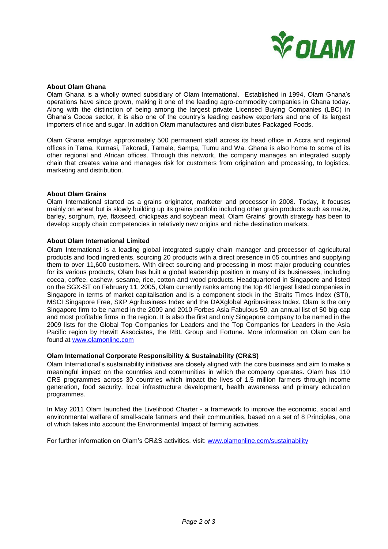

#### **About Olam Ghana**

Olam Ghana is a wholly owned subsidiary of Olam International. Established in 1994, Olam Ghana's operations have since grown, making it one of the leading agro-commodity companies in Ghana today. Along with the distinction of being among the largest private Licensed Buying Companies (LBC) in Ghana's Cocoa sector, it is also one of the country's leading cashew exporters and one of its largest importers of rice and sugar. In addition Olam manufactures and distributes Packaged Foods.

Olam Ghana employs approximately 500 permanent staff across its head office in Accra and regional offices in Tema, Kumasi, Takoradi, Tamale, Sampa, Tumu and Wa. Ghana is also home to some of its other regional and African offices. Through this network, the company manages an integrated supply chain that creates value and manages risk for customers from origination and processing, to logistics, marketing and distribution.

### **About Olam Grains**

Olam International started as a grains originator, marketer and processor in 2008. Today, it focuses mainly on wheat but is slowly building up its grains portfolio including other grain products such as maize, barley, sorghum, rye, flaxseed, chickpeas and soybean meal. Olam Grains' growth strategy has been to develop supply chain competencies in relatively new origins and niche destination markets.

### **About Olam International Limited**

Olam International is a leading global integrated supply chain manager and processor of agricultural products and food ingredients, sourcing 20 products with a direct presence in 65 countries and supplying them to over 11,600 customers. With direct sourcing and processing in most major producing countries for its various products, Olam has built a global leadership position in many of its businesses, including cocoa, coffee, cashew, sesame, rice, cotton and wood products. Headquartered in Singapore and listed on the SGX-ST on February 11, 2005, Olam currently ranks among the top 40 largest listed companies in Singapore in terms of market capitalisation and is a component stock in the Straits Times Index (STI), MSCI Singapore Free, S&P Agribusiness Index and the DAXglobal Agribusiness Index. Olam is the only Singapore firm to be named in the 2009 and 2010 Forbes Asia Fabulous 50, an annual list of 50 big-cap and most profitable firms in the region. It is also the first and only Singapore company to be named in the 2009 lists for the Global Top Companies for Leaders and the Top Companies for Leaders in the Asia Pacific region by Hewitt Associates, the RBL Group and Fortune. More information on Olam can be found at [www.olamonline.com](http://www.olamonline.com/)

## **Olam International Corporate Responsibility & Sustainability (CR&S)**

Olam International's sustainability initiatives are closely aligned with the core business and aim to make a meaningful impact on the countries and communities in which the company operates. Olam has 110 CRS programmes across 30 countries which impact the lives of 1.5 million farmers through income generation, food security, local infrastructure development, health awareness and primary education programmes.

In May 2011 Olam launched the Livelihood Charter - a framework to improve the economic, social and environmental welfare of small-scale farmers and their communities, based on a set of 8 Principles, one of which takes into account the Environmental Impact of farming activities.

For further information on Olam's CR&S activities, visit: [www.olamonline.com/sustainability](http://www.olamonline.com/sustainability)